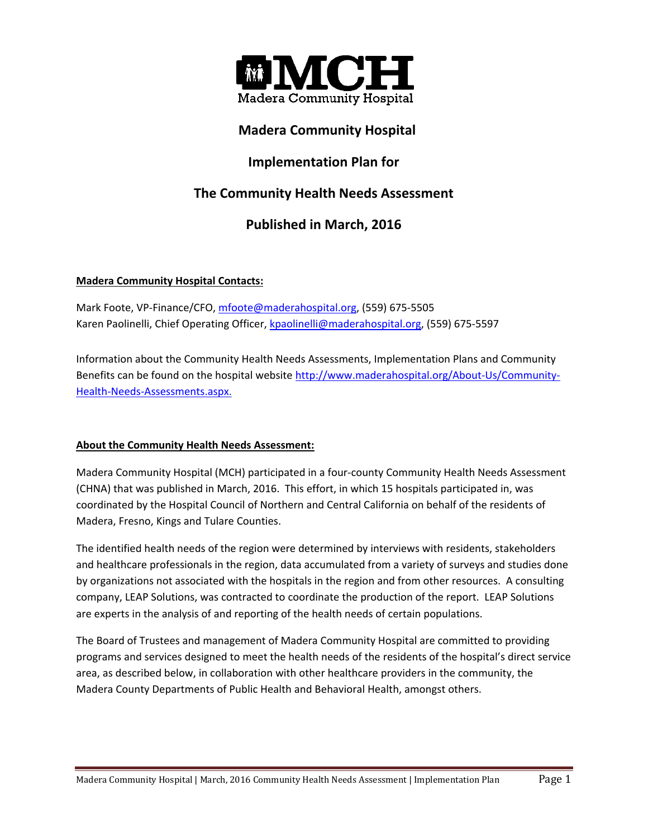

## **Madera Community Hospital**

## **Implementation Plan for**

# **The Community Health Needs Assessment**

## **Published in March, 2016**

## **Madera Community Hospital Contacts:**

Mark Foote, VP-Finance/CFO, mfoote@maderahospital.org, (559) 675-5505 Karen Paolinelli, Chief Operating Officer, kpaolinelli@maderahospital.org, (559) 675-5597

Information about the Community Health Needs Assessments, Implementation Plans and Community Benefits can be found on the hospital website http://www.maderahospital.org/About-Us/Community-Health‐Needs‐Assessments.aspx.

## **About the Community Health Needs Assessment:**

Madera Community Hospital (MCH) participated in a four‐county Community Health Needs Assessment (CHNA) that was published in March, 2016. This effort, in which 15 hospitals participated in, was coordinated by the Hospital Council of Northern and Central California on behalf of the residents of Madera, Fresno, Kings and Tulare Counties.

The identified health needs of the region were determined by interviews with residents, stakeholders and healthcare professionals in the region, data accumulated from a variety of surveys and studies done by organizations not associated with the hospitals in the region and from other resources. A consulting company, LEAP Solutions, was contracted to coordinate the production of the report. LEAP Solutions are experts in the analysis of and reporting of the health needs of certain populations.

The Board of Trustees and management of Madera Community Hospital are committed to providing programs and services designed to meet the health needs of the residents of the hospital's direct service area, as described below, in collaboration with other healthcare providers in the community, the Madera County Departments of Public Health and Behavioral Health, amongst others.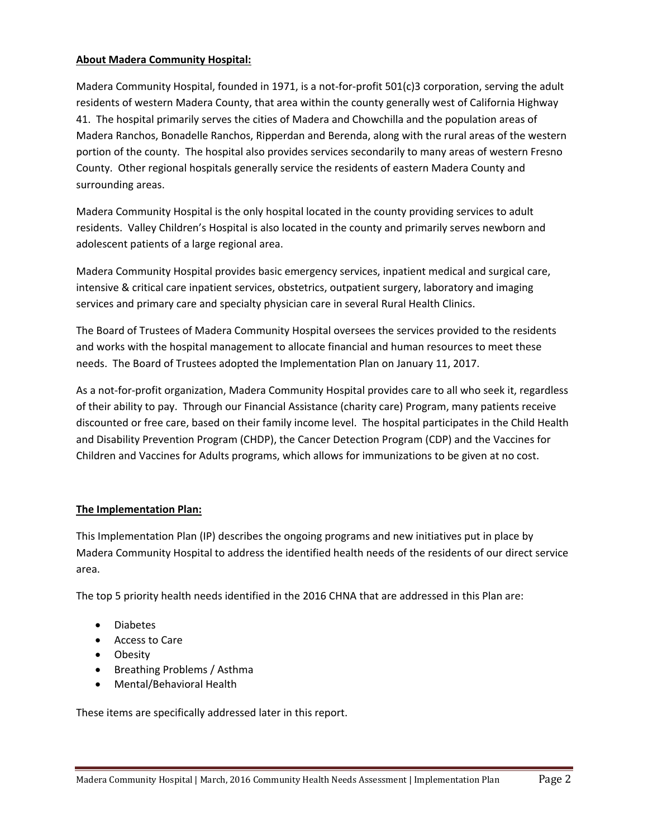#### **About Madera Community Hospital:**

Madera Community Hospital, founded in 1971, is a not-for-profit 501(c)3 corporation, serving the adult residents of western Madera County, that area within the county generally west of California Highway 41. The hospital primarily serves the cities of Madera and Chowchilla and the population areas of Madera Ranchos, Bonadelle Ranchos, Ripperdan and Berenda, along with the rural areas of the western portion of the county. The hospital also provides services secondarily to many areas of western Fresno County. Other regional hospitals generally service the residents of eastern Madera County and surrounding areas.

Madera Community Hospital is the only hospital located in the county providing services to adult residents. Valley Children's Hospital is also located in the county and primarily serves newborn and adolescent patients of a large regional area.

Madera Community Hospital provides basic emergency services, inpatient medical and surgical care, intensive & critical care inpatient services, obstetrics, outpatient surgery, laboratory and imaging services and primary care and specialty physician care in several Rural Health Clinics.

The Board of Trustees of Madera Community Hospital oversees the services provided to the residents and works with the hospital management to allocate financial and human resources to meet these needs. The Board of Trustees adopted the Implementation Plan on January 11, 2017.

As a not‐for‐profit organization, Madera Community Hospital provides care to all who seek it, regardless of their ability to pay. Through our Financial Assistance (charity care) Program, many patients receive discounted or free care, based on their family income level. The hospital participates in the Child Health and Disability Prevention Program (CHDP), the Cancer Detection Program (CDP) and the Vaccines for Children and Vaccines for Adults programs, which allows for immunizations to be given at no cost.

#### **The Implementation Plan:**

This Implementation Plan (IP) describes the ongoing programs and new initiatives put in place by Madera Community Hospital to address the identified health needs of the residents of our direct service area.

The top 5 priority health needs identified in the 2016 CHNA that are addressed in this Plan are:

- Diabetes
- Access to Care
- Obesity
- Breathing Problems / Asthma
- Mental/Behavioral Health

These items are specifically addressed later in this report.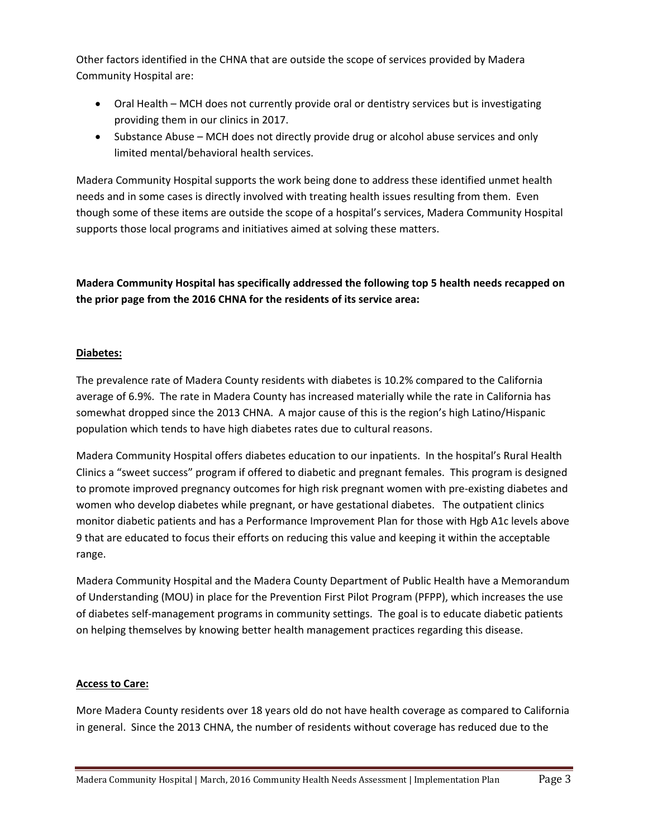Other factors identified in the CHNA that are outside the scope of services provided by Madera Community Hospital are:

- Oral Health MCH does not currently provide oral or dentistry services but is investigating providing them in our clinics in 2017.
- Substance Abuse MCH does not directly provide drug or alcohol abuse services and only limited mental/behavioral health services.

Madera Community Hospital supports the work being done to address these identified unmet health needs and in some cases is directly involved with treating health issues resulting from them. Even though some of these items are outside the scope of a hospital's services, Madera Community Hospital supports those local programs and initiatives aimed at solving these matters.

**Madera Community Hospital has specifically addressed the following top 5 health needs recapped on the prior page from the 2016 CHNA for the residents of its service area:** 

### **Diabetes:**

The prevalence rate of Madera County residents with diabetes is 10.2% compared to the California average of 6.9%. The rate in Madera County has increased materially while the rate in California has somewhat dropped since the 2013 CHNA. A major cause of this is the region's high Latino/Hispanic population which tends to have high diabetes rates due to cultural reasons.

Madera Community Hospital offers diabetes education to our inpatients. In the hospital's Rural Health Clinics a "sweet success" program if offered to diabetic and pregnant females. This program is designed to promote improved pregnancy outcomes for high risk pregnant women with pre‐existing diabetes and women who develop diabetes while pregnant, or have gestational diabetes. The outpatient clinics monitor diabetic patients and has a Performance Improvement Plan for those with Hgb A1c levels above 9 that are educated to focus their efforts on reducing this value and keeping it within the acceptable range.

Madera Community Hospital and the Madera County Department of Public Health have a Memorandum of Understanding (MOU) in place for the Prevention First Pilot Program (PFPP), which increases the use of diabetes self‐management programs in community settings. The goal is to educate diabetic patients on helping themselves by knowing better health management practices regarding this disease.

## **Access to Care:**

More Madera County residents over 18 years old do not have health coverage as compared to California in general. Since the 2013 CHNA, the number of residents without coverage has reduced due to the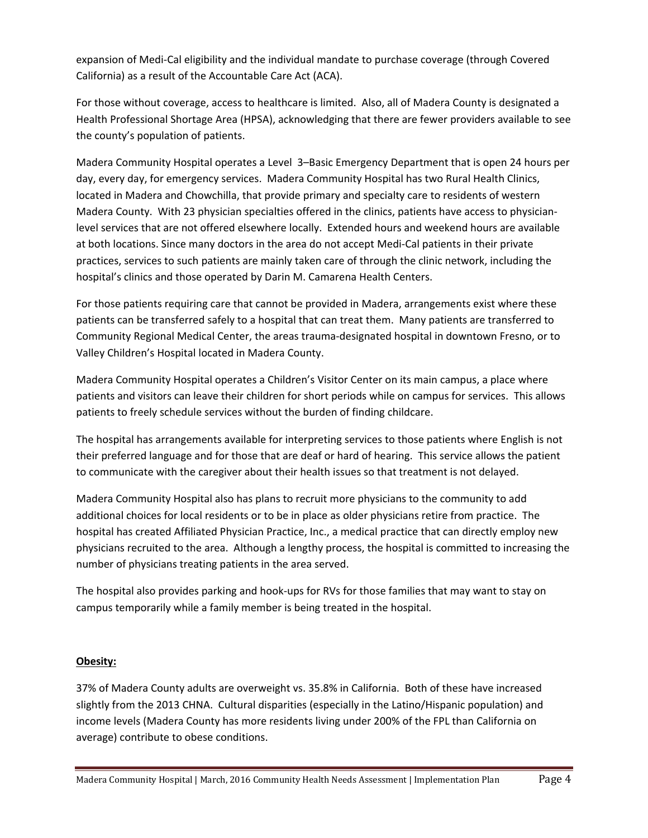expansion of Medi‐Cal eligibility and the individual mandate to purchase coverage (through Covered California) as a result of the Accountable Care Act (ACA).

For those without coverage, access to healthcare is limited. Also, all of Madera County is designated a Health Professional Shortage Area (HPSA), acknowledging that there are fewer providers available to see the county's population of patients.

Madera Community Hospital operates a Level 3–Basic Emergency Department that is open 24 hours per day, every day, for emergency services. Madera Community Hospital has two Rural Health Clinics, located in Madera and Chowchilla, that provide primary and specialty care to residents of western Madera County. With 23 physician specialties offered in the clinics, patients have access to physician‐ level services that are not offered elsewhere locally. Extended hours and weekend hours are available at both locations. Since many doctors in the area do not accept Medi‐Cal patients in their private practices, services to such patients are mainly taken care of through the clinic network, including the hospital's clinics and those operated by Darin M. Camarena Health Centers.

For those patients requiring care that cannot be provided in Madera, arrangements exist where these patients can be transferred safely to a hospital that can treat them. Many patients are transferred to Community Regional Medical Center, the areas trauma‐designated hospital in downtown Fresno, or to Valley Children's Hospital located in Madera County.

Madera Community Hospital operates a Children's Visitor Center on its main campus, a place where patients and visitors can leave their children for short periods while on campus for services. This allows patients to freely schedule services without the burden of finding childcare.

The hospital has arrangements available for interpreting services to those patients where English is not their preferred language and for those that are deaf or hard of hearing. This service allows the patient to communicate with the caregiver about their health issues so that treatment is not delayed.

Madera Community Hospital also has plans to recruit more physicians to the community to add additional choices for local residents or to be in place as older physicians retire from practice. The hospital has created Affiliated Physician Practice, Inc., a medical practice that can directly employ new physicians recruited to the area. Although a lengthy process, the hospital is committed to increasing the number of physicians treating patients in the area served.

The hospital also provides parking and hook-ups for RVs for those families that may want to stay on campus temporarily while a family member is being treated in the hospital.

## **Obesity:**

37% of Madera County adults are overweight vs. 35.8% in California. Both of these have increased slightly from the 2013 CHNA. Cultural disparities (especially in the Latino/Hispanic population) and income levels (Madera County has more residents living under 200% of the FPL than California on average) contribute to obese conditions.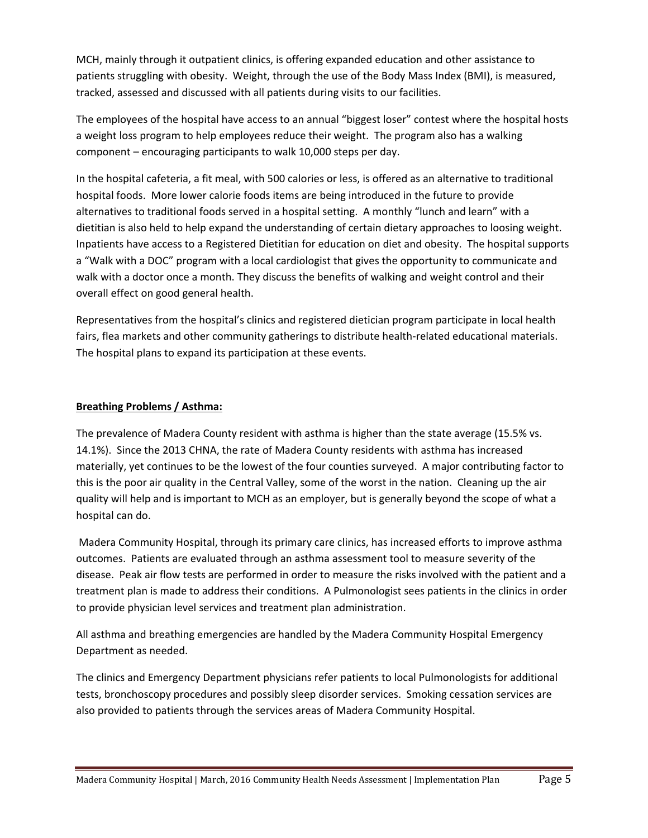MCH, mainly through it outpatient clinics, is offering expanded education and other assistance to patients struggling with obesity. Weight, through the use of the Body Mass Index (BMI), is measured, tracked, assessed and discussed with all patients during visits to our facilities.

The employees of the hospital have access to an annual "biggest loser" contest where the hospital hosts a weight loss program to help employees reduce their weight. The program also has a walking component – encouraging participants to walk 10,000 steps per day.

In the hospital cafeteria, a fit meal, with 500 calories or less, is offered as an alternative to traditional hospital foods. More lower calorie foods items are being introduced in the future to provide alternatives to traditional foods served in a hospital setting. A monthly "lunch and learn" with a dietitian is also held to help expand the understanding of certain dietary approaches to loosing weight. Inpatients have access to a Registered Dietitian for education on diet and obesity. The hospital supports a "Walk with a DOC" program with a local cardiologist that gives the opportunity to communicate and walk with a doctor once a month. They discuss the benefits of walking and weight control and their overall effect on good general health.

Representatives from the hospital's clinics and registered dietician program participate in local health fairs, flea markets and other community gatherings to distribute health-related educational materials. The hospital plans to expand its participation at these events.

## **Breathing Problems / Asthma:**

The prevalence of Madera County resident with asthma is higher than the state average (15.5% vs. 14.1%). Since the 2013 CHNA, the rate of Madera County residents with asthma has increased materially, yet continues to be the lowest of the four counties surveyed. A major contributing factor to this is the poor air quality in the Central Valley, some of the worst in the nation. Cleaning up the air quality will help and is important to MCH as an employer, but is generally beyond the scope of what a hospital can do.

 Madera Community Hospital, through its primary care clinics, has increased efforts to improve asthma outcomes. Patients are evaluated through an asthma assessment tool to measure severity of the disease. Peak air flow tests are performed in order to measure the risks involved with the patient and a treatment plan is made to address their conditions. A Pulmonologist sees patients in the clinics in order to provide physician level services and treatment plan administration.

All asthma and breathing emergencies are handled by the Madera Community Hospital Emergency Department as needed.

The clinics and Emergency Department physicians refer patients to local Pulmonologists for additional tests, bronchoscopy procedures and possibly sleep disorder services. Smoking cessation services are also provided to patients through the services areas of Madera Community Hospital.